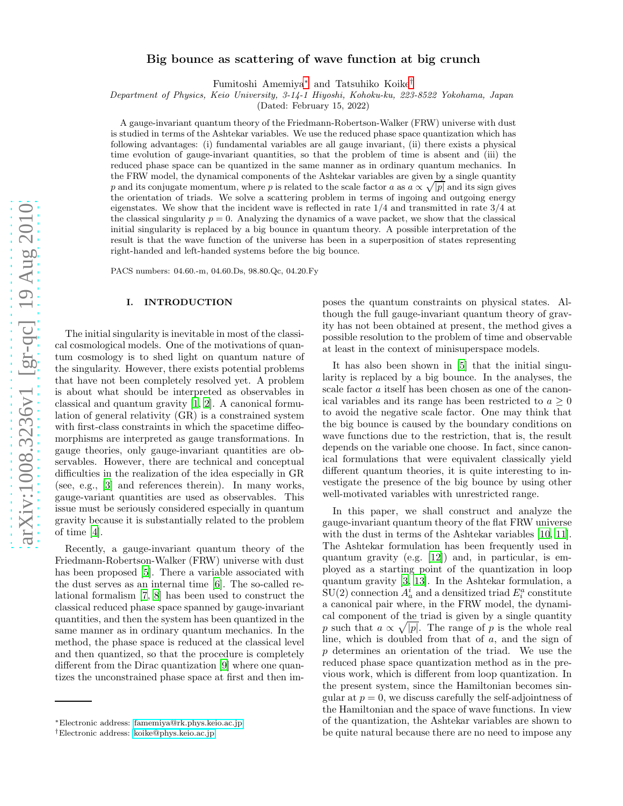# Big bounce as scattering of wave function at big crunch

Fumitoshi Amemiya [∗](#page-0-0) and Tatsuhiko Koike [†](#page-0-1)

Department of Physics, Keio University, 3-14-1 Hiyoshi, Kohoku-ku, 223-8522 Yokohama, Japan

(Dated: February 15, 2022)

A gauge-invariant quantum theory of the Friedmann-Robertson-Walker (FRW) universe with dust is studied in terms of the Ashtekar variables. We use the reduced phase space quantization which has following advantages: (i) fundamental variables are all gauge invariant, (ii) there exists a physical time evolution of gauge-invariant quantities, so that the problem of time is absent and (iii) the reduced phase space can be quantized in the same manner as in ordinary quantum mechanics. In the FRW model, the dynamical components of the Ashtekar variables are given by a single quantity p and its conjugate momentum, where p is related to the scale factor a as  $a \propto \sqrt{|p|}$  and its sign gives the orientation of triads. We solve a scattering problem in terms of ingoing and outgoing energy eigenstates. We show that the incident wave is reflected in rate  $1/4$  and transmitted in rate  $3/4$  at the classical singularity  $p = 0$ . Analyzing the dynamics of a wave packet, we show that the classical initial singularity is replaced by a big bounce in quantum theory. A possible interpretation of the result is that the wave function of the universe has been in a superposition of states representing right-handed and left-handed systems before the big bounce .

PACS numbers: 04.60.-m, 04.60.Ds, 98.80.Qc, 04.20.Fy

# I. INTRODUCTION

The initial singularity is inevitable in most of the classical cosmological models. One of the motivations of quantum cosmology is to shed light on quantum nature of the singularity. However, there exists potential problems that have not been completely resolved yet. A problem is about what should be interpreted as observables in classical and quantum gravity [\[1,](#page-7-0) [2\]](#page-7-1). A canonical formulation of general relativity (GR) is a constrained system with first-class constraints in which the spacetime diffeomorphisms are interpreted as gauge transformations. In gauge theories, only gauge-invariant quantities are observables. However, there are technical and conceptual difficulties in the realization of the idea especially in GR (see, e.g., [3] and references therein). In many works, gauge-variant quantities are used as observables. This issue must be seriously considered especially in quantum gravity because it is substantially related to the problem of time [\[4\]](#page-7-2).

Recently, a gauge-invariant quantum theory of the Friedmann-Robertson-Walker (FRW) universe with dust has been proposed [\[5](#page-7-3)]. There a variable associated with the dust serves as an internal time [\[6](#page-7-4)]. The so-called relational formalism [\[7,](#page-7-5) 8] has been used to construct the classical reduced phase space spanned by gauge-invariant quantities, and then the system has been quantized in the same manner as in ordinary quantum mechanics. In the method, the phase space is reduced at the classical level and then quantized, so that the procedure is completely different from the Dirac quantization [\[9](#page-7-6)] where one quantizes the unconstrained phase space at first and then im-

poses the quantum constraints on physical states. Although the full gauge-invariant quantum theory of gravity has not been obtained at present, the method gives a possible resolution to the problem of time and observable at least in the context of minisuperspace models.

It has also been shown in [\[5\]](#page-7-3) that the initial singularity is replaced by a big bounce. In the analyses, the scale factor a itself has been chosen as one of the canonical variables and its range has been restricted to  $a \geq 0$ to avoid the negative scale factor. One may think that the big bounce is caused by the boundary conditions on wave functions due to the restriction, that is, the result depends on the variable one choose. In fact, since canonical formulations that were equivalent classically yield different quantum theories, it is quite interesting to investigate the presence of the big bounce by using other well-motivated variables with unrestricted range.

In this paper, we shall construct and analyze the gauge-invariant quantum theory of the flat FRW universe with the dust in terms of the Ashtekar variables [10, [11\]](#page-8-0). The Ashtekar formulation has been frequently used in quantum gravity (e.g. [\[12](#page-8-1)]) and, in particular, is employed as a starting point of the quantization in loop quantum gravity [3, [13](#page-8-2)]. In the Ashtekar formulation, a  $SU(2)$  connection  $A_a^i$  and a densitized triad  $E_i^a$  constitute a canonical pair where, in the FRW model, the dynamical component of the triad is given by a single quantity p such that  $a \propto \sqrt{|p|}$ . The range of p is the whole real line, which is doubled from that of a, and the sign of p determines an orientation of the triad. We use the reduced phase space quantization method as in the previous work, which is different from loop quantization. In the present system, since the Hamiltonian becomes singular at  $p = 0$ , we discuss carefully the self-adjointness of the Hamiltonian and the space of wave functions. In view of the quantization, the Ashtekar variables are shown to be quite natural because there are no need to impose any

<span id="page-0-0"></span><sup>∗</sup>Electronic address: [famemiya@rk.phys.keio.ac.jp](mailto:famemiya@rk.phys.keio.ac.jp)

<span id="page-0-1"></span><sup>†</sup>Electronic address: [koike@phys.keio.ac.jp](mailto:koike@phys.keio.ac.jp)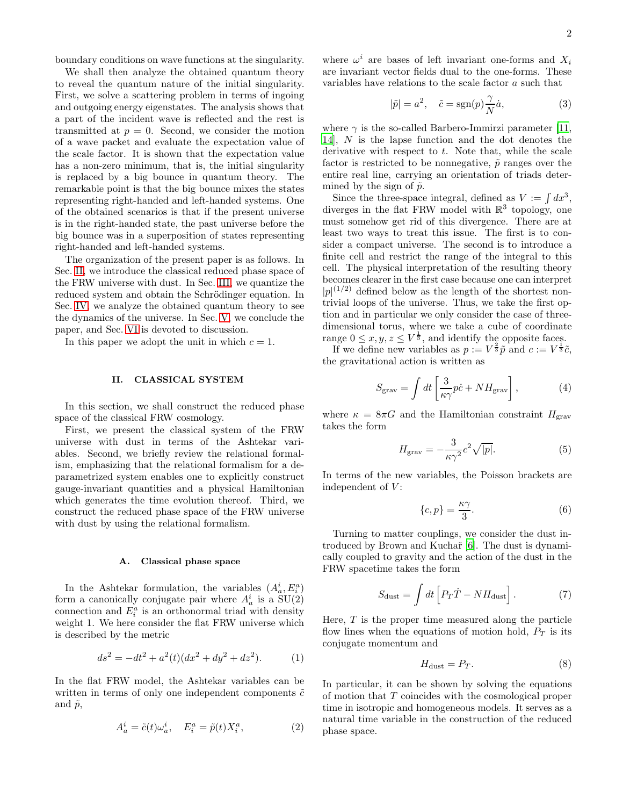boundary conditions on wave functions at the singularity.

We shall then analyze the obtained quantum theory to reveal the quantum nature of the initial singularity. First, we solve a scattering problem in terms of ingoing and outgoing energy eigenstates. The analysis shows that a part of the incident wave is reflected and the rest is transmitted at  $p = 0$ . Second, we consider the motion of a wave packet and evaluate the expectation value of the scale factor. It is shown that the expectation value has a non-zero minimum, that is, the initial singularity is replaced by a big bounce in quantum theory. The remarkable point is that the big bounce mixes the states representing right-handed and left-handed systems. One of the obtained scenarios is that if the present universe is in the right-handed state, the past universe before the big bounce was in a superposition of states representing right-handed and left-handed systems.

The organization of the present paper is as follows. In Sec. [II,](#page-1-0) we introduce the classical reduced phase space of the FRW universe with dust. In Sec. [III,](#page-3-0) we quantize the reduced system and obtain the Schrödinger equation. In Sec. [IV,](#page-3-1) we analyze the obtained quantum theory to see the dynamics of the universe. In Sec. [V,](#page-6-0) we conclude the paper, and Sec. [VI](#page-6-1) is devoted to discussion.

In this paper we adopt the unit in which  $c = 1$ .

### <span id="page-1-0"></span>II. CLASSICAL SYSTEM

In this section, we shall construct the reduced phase space of the classical FRW cosmology.

First, we present the classical system of the FRW universe with dust in terms of the Ashtekar variables. Second, we briefly review the relational formalism, emphasizing that the relational formalism for a deparametrized system enables one to explicitly construct gauge-invariant quantities and a physical Hamiltonian which generates the time evolution thereof. Third, we construct the reduced phase space of the FRW universe with dust by using the relational formalism.

#### A. Classical phase space

In the Ashtekar formulation, the variables  $(A_a^i, E_i^a)$ form a canonically conjugate pair where  $A_a^i$  is a  $SU(2)$ connection and  $E_i^a$  is an orthonormal triad with density weight 1. We here consider the flat FRW universe which is described by the metric

$$
ds^{2} = -dt^{2} + a^{2}(t)(dx^{2} + dy^{2} + dz^{2}).
$$
 (1)

In the flat FRW model, the Ashtekar variables can be written in terms of only one independent components  $\tilde{c}$ and  $\tilde{p}$ ,

$$
A_a^i = \tilde{c}(t)\omega_a^i, \quad E_i^a = \tilde{p}(t)X_i^a,
$$
\n<sup>(2)</sup>

where  $\omega^i$  are bases of left invariant one-forms and  $X_i$ are invariant vector fields dual to the one-forms. These variables have relations to the scale factor a such that

$$
|\tilde{p}| = a^2, \quad \tilde{c} = \text{sgn}(p)\frac{\gamma}{N}\dot{a},\tag{3}
$$

where  $\gamma$  is the so-called Barbero-Immirzi parameter [\[11](#page-8-0), [14](#page-8-3)], N is the lapse function and the dot denotes the derivative with respect to  $t$ . Note that, while the scale factor is restricted to be nonnegative,  $\tilde{p}$  ranges over the entire real line, carrying an orientation of triads determined by the sign of  $\tilde{p}$ .

Since the three-space integral, defined as  $V := \int dx^3$ , diverges in the flat FRW model with  $\mathbb{R}^3$  topology, one must somehow get rid of this divergence. There are at least two ways to treat this issue. The first is to consider a compact universe. The second is to introduce a finite cell and restrict the range of the integral to this cell. The physical interpretation of the resulting theory becomes clearer in the first case because one can interpret  $|p|^{(1/2)}$  defined below as the length of the shortest nontrivial loops of the universe. Thus, we take the first option and in particular we only consider the case of threedimensional torus, where we take a cube of coordinate range  $0 \le x, y, z \le V^{\frac{1}{3}}$ , and identify the opposite faces.

If we define new variables as  $p := V^{\frac{2}{3}} \tilde{p}$  and  $c := V^{\frac{1}{3}} \tilde{c}$ , the gravitational action is written as

$$
S_{\text{grav}} = \int dt \left[ \frac{3}{\kappa \gamma} p \dot{c} + NH_{\text{grav}} \right],\tag{4}
$$

where  $\kappa = 8\pi G$  and the Hamiltonian constraint  $H_{\text{grav}}$ takes the form

$$
H_{\text{grav}} = -\frac{3}{\kappa \gamma^2} c^2 \sqrt{|p|}. \tag{5}
$$

In terms of the new variables, the Poisson brackets are independent of  $V$ :

$$
\{c, p\} = \frac{\kappa \gamma}{3}.
$$
 (6)

Turning to matter couplings, we consider the dust in-troduced by Brown and Kuchař [\[6\]](#page-7-4). The dust is dynamically coupled to gravity and the action of the dust in the FRW spacetime takes the form

$$
S_{\rm dust} = \int dt \left[ P_T \dot{T} - NH_{\rm dust} \right]. \tag{7}
$$

Here,  $T$  is the proper time measured along the particle flow lines when the equations of motion hold,  $P_T$  is its conjugate momentum and

$$
H_{\text{dust}} = P_T. \tag{8}
$$

In particular, it can be shown by solving the equations of motion that T coincides with the cosmological proper time in isotropic and homogeneous models. It serves as a natural time variable in the construction of the reduced phase space.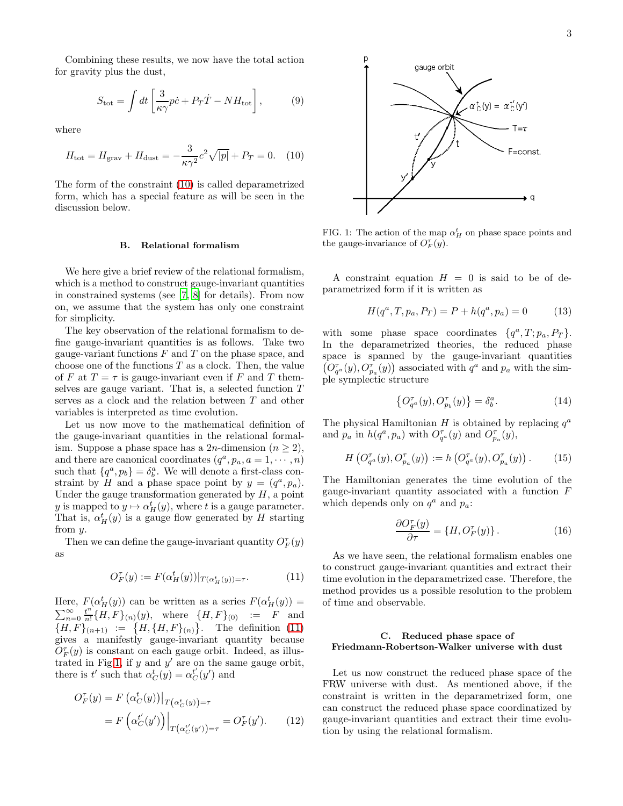Combining these results, we now have the total action for gravity plus the dust,

$$
S_{\text{tot}} = \int dt \left[ \frac{3}{\kappa \gamma} p \dot{c} + P_T \dot{T} - N H_{\text{tot}} \right],\tag{9}
$$

where

$$
H_{\text{tot}} = H_{\text{grav}} + H_{\text{dust}} = -\frac{3}{\kappa \gamma^2} c^2 \sqrt{|p|} + P_T = 0. \quad (10)
$$

The form of the constraint [\(10\)](#page-2-0) is called deparametrized form, which has a special feature as will be seen in the discussion below.

### B. Relational formalism

We here give a brief review of the relational formalism, which is a method to construct gauge-invariant quantities in constrained systems (see [\[7,](#page-7-5) 8] for details). From now on, we assume that the system has only one constraint for simplicity.

The key observation of the relational formalism to define gauge-invariant quantities is as follows. Take two gauge-variant functions  $F$  and  $T$  on the phase space, and choose one of the functions  $T$  as a clock. Then, the value of F at  $T = \tau$  is gauge-invariant even if F and T themselves are gauge variant. That is, a selected function T serves as a clock and the relation between T and other variables is interpreted as time evolution.

Let us now move to the mathematical definition of the gauge-invariant quantities in the relational formalism. Suppose a phase space has a 2n-dimension  $(n \geq 2)$ , and there are canonical coordinates  $(q^a, p_a, a = 1, \dots, n)$ such that  $\{q^a, p_b\} = \delta^a_b$ . We will denote a first-class constraint by H and a phase space point by  $y = (q^a, p_a)$ . Under the gauge transformation generated by  $H$ , a point y is mapped to  $y \mapsto \alpha_H^t(y)$ , where t is a gauge parameter. That is,  $\alpha_H^t(y)$  is a gauge flow generated by H starting from y.

Then we can define the gauge-invariant quantity  $O_F^\tau(y)$ as

$$
O_F^{\tau}(y) := F(\alpha_H^t(y))|_{T(\alpha_H^t(y)) = \tau}.
$$
\n(11)

Here,  $F(\alpha_H^t(y))$  can be written as a series  $F(\alpha_H^t(y)) =$  $\sum_{n=0}^{\infty} \frac{t^n}{n!}$  $\frac{t^n}{n!} \{H, F\}_{(n)}(y)$ , where  $\{H, F\}_{(0)} := F$  and  ${H, F}_{(n+1)} := {H, {H, F}_{(n)}}$ . The definition [\(11\)](#page-2-1) gives a manifestly gauge-invariant quantity because  $O_F^{\tau}(y)$  is constant on each gauge orbit. Indeed, as illus-trated in Fig[.1,](#page-2-2) if  $y$  and  $y'$  are on the same gauge orbit, there is  $t'$  such that  $\alpha_C^t(y) = \alpha_C^{t'}(y')$  and

$$
O_F^{\tau}(y) = F\left(\alpha_C^t(y)\right)|_{T\left(\alpha_C^t(y)\right) = \tau}
$$

$$
= F\left(\alpha_C^{t'}(y')\right)|_{T\left(\alpha_C^{t'}(y')\right) = \tau} = O_F^{\tau}(y'). \tag{12}
$$



<span id="page-2-2"></span><span id="page-2-0"></span>FIG. 1: The action of the map  $\alpha_H^t$  on phase space points and the gauge-invariance of  $O_F^{\tau}(y)$ .

A constraint equation  $H = 0$  is said to be of deparametrized form if it is written as

$$
H(q^a, T, p_a, P_T) = P + h(q^a, p_a) = 0 \tag{13}
$$

with some phase space coordinates  $\{q^a, T; p_a, P_T\}.$ In the deparametrized theories, the reduced phase space is spanned by the gauge-invariant quantities  $(O_{q^a}^{\tau}(y), O_{p_a}^{\tau}(y))$  associated with  $q^a$  and  $p_a$  with the simple symplectic structure

$$
\left\{O_{q^a}^{\tau}(y), O_{p_b}^{\tau}(y)\right\} = \delta_b^a. \tag{14}
$$

The physical Hamiltonian  $H$  is obtained by replacing  $q^a$ and  $p_a$  in  $h(q^a, p_a)$  with  $O_{q^a}^{\tau}(y)$  and  $O_{p_a}^{\tau}(y)$ ,

$$
H\left(O_{q^a}^{\tau}(y), O_{p_a}^{\tau}(y)\right) := h\left(O_{q^a}^{\tau}(y), O_{p_a}^{\tau}(y)\right). \tag{15}
$$

The Hamiltonian generates the time evolution of the gauge-invariant quantity associated with a function F which depends only on  $q^a$  and  $p_a$ :

$$
\frac{\partial O_F^{\tau}(y)}{\partial \tau} = \{H, O_F^{\tau}(y)\}.
$$
 (16)

<span id="page-2-1"></span>As we have seen, the relational formalism enables one to construct gauge-invariant quantities and extract their time evolution in the deparametrized case. Therefore, the method provides us a possible resolution to the problem of time and observable.

# C. Reduced phase space of Friedmann-Robertson-Walker universe with dust

Let us now construct the reduced phase space of the FRW universe with dust. As mentioned above, if the constraint is written in the deparametrized form, one can construct the reduced phase space coordinatized by gauge-invariant quantities and extract their time evolution by using the relational formalism.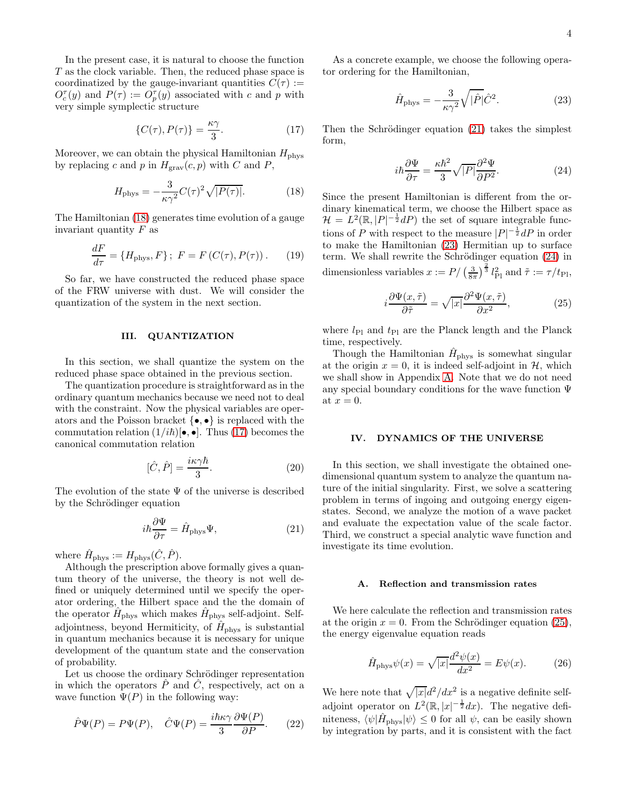In the present case, it is natural to choose the function T as the clock variable. Then, the reduced phase space is coordinatized by the gauge-invariant quantities  $C(\tau) :=$  $O_c^{\tau}(y)$  and  $P(\tau) := O_p^{\tau}(y)$  associated with c and p with very simple symplectic structure

$$
\{C(\tau), P(\tau)\} = \frac{\kappa \gamma}{3}.
$$
\n(17)

Moreover, we can obtain the physical Hamiltonian  $H_{\text{phys}}$ by replacing c and p in  $H_{\text{grav}}(c, p)$  with C and P,

$$
H_{\rm phys} = -\frac{3}{\kappa \gamma^2} C(\tau)^2 \sqrt{|P(\tau)|}.\tag{18}
$$

The Hamiltonian [\(18\)](#page-3-2) generates time evolution of a gauge invariant quantity  $F$  as

$$
\frac{dF}{d\tau} = \{H_{\text{phys}}, F\};\ F = F(C(\tau), P(\tau)).\tag{19}
$$

So far, we have constructed the reduced phase space of the FRW universe with dust. We will consider the quantization of the system in the next section.

# <span id="page-3-0"></span>III. QUANTIZATION

In this section, we shall quantize the system on the reduced phase space obtained in the previous section.

The quantization procedure is straightforward as in the ordinary quantum mechanics because we need not to deal with the constraint. Now the physical variables are operators and the Poisson bracket  $\{\bullet,\bullet\}$  is replaced with the commutation relation  $(1/i\hbar)[\bullet,\bullet]$ . Thus [\(17\)](#page-3-3) becomes the canonical commutation relation

$$
[\hat{C}, \hat{P}] = \frac{i\kappa\gamma\hbar}{3}.
$$
 (20)

The evolution of the state  $\Psi$  of the universe is described by the Schrödinger equation

$$
i\hbar \frac{\partial \Psi}{\partial \tau} = \hat{H}_{\text{phys}} \Psi,\tag{21}
$$

where  $\hat{H}_{\text{phys}} := H_{\text{phys}}(\hat{C}, \hat{P}).$ 

Although the prescription above formally gives a quantum theory of the universe, the theory is not well defined or uniquely determined until we specify the operator ordering, the Hilbert space and the the domain of the operator  $\hat{H}_{\text{phys}}$  which makes  $\hat{H}_{\text{phys}}$  self-adjoint. Selfadjointness, beyond Hermiticity, of  $\hat{H}_{\text{phys}}$  is substantial in quantum mechanics because it is necessary for unique development of the quantum state and the conservation of probability.

Let us choose the ordinary Schrödinger representation in which the operators  $\hat{P}$  and  $\hat{C}$ , respectively, act on a wave function  $\Psi(P)$  in the following way:

$$
\hat{P}\Psi(P) = P\Psi(P), \quad \hat{C}\Psi(P) = \frac{i\hbar\kappa\gamma}{3} \frac{\partial\Psi(P)}{\partial P}.
$$
 (22)

As a concrete example, we choose the following operator ordering for the Hamiltonian,

<span id="page-3-5"></span>
$$
\hat{H}_{\text{phys}} = -\frac{3}{\kappa \gamma^2} \sqrt{|\hat{P}|} \hat{C}^2.
$$
 (23)

<span id="page-3-3"></span>Then the Schrödinger equation  $(21)$  takes the simplest form,

<span id="page-3-6"></span>
$$
i\hbar \frac{\partial \Psi}{\partial \tau} = \frac{\kappa \hbar^2}{3} \sqrt{|P|} \frac{\partial^2 \Psi}{\partial P^2}.
$$
 (24)

<span id="page-3-2"></span>Since the present Hamiltonian is different from the ordinary kinematical term, we choose the Hilbert space as  $\mathcal{H} = L^2(\mathbb{R}, |P|^{-\frac{1}{2}}dP)$  the set of square integrable functions of P with respect to the measure  $|P|^{-\frac{1}{2}}dP$  in order to make the Hamiltonian [\(23\)](#page-3-5) Hermitian up to surface term. We shall rewrite the Schrödinger equation [\(24\)](#page-3-6) in dimensionless variables  $x := P/(\frac{3}{8\pi})^{\frac{2}{3}} l_{\text{Pl}}^2$  and  $\tilde{\tau} := \tau/t_{\text{Pl}},$ 

<span id="page-3-7"></span>
$$
i\frac{\partial\Psi(x,\tilde{\tau})}{\partial\tilde{\tau}} = \sqrt{|x|}\frac{\partial^2\Psi(x,\tilde{\tau})}{\partial x^2},\tag{25}
$$

where  $l_{\text{Pl}}$  and  $t_{\text{Pl}}$  are the Planck length and the Planck time, respectively.

Though the Hamiltonian  $\hat{H}_{\text{phys}}$  is somewhat singular at the origin  $x = 0$ , it is indeed self-adjoint in  $\mathcal{H}$ , which we shall show in Appendix [A.](#page-7-7) Note that we do not need any special boundary conditions for the wave function Ψ at  $x=0$ .

### <span id="page-3-1"></span>IV. DYNAMICS OF THE UNIVERSE

<span id="page-3-4"></span>In this section, we shall investigate the obtained onedimensional quantum system to analyze the quantum nature of the initial singularity. First, we solve a scattering problem in terms of ingoing and outgoing energy eigenstates. Second, we analyze the motion of a wave packet and evaluate the expectation value of the scale factor. Third, we construct a special analytic wave function and investigate its time evolution.

#### A. Reflection and transmission rates

We here calculate the reflection and transmission rates at the origin  $x = 0$ . From the Schrödinger equation [\(25\)](#page-3-7), the energy eigenvalue equation reads

<span id="page-3-8"></span>
$$
\hat{H}_{\text{phys}}\psi(x) = \sqrt{|x|}\frac{d^2\psi(x)}{dx^2} = E\psi(x). \tag{26}
$$

We here note that  $\sqrt{|x|}d^2/dx^2$  is a negative definite selfadjoint operator on  $L^2(\mathbb{R}, |x|^{-\frac{1}{2}}dx)$ . The negative definiteness,  $\langle \psi | \hat{H}_{\text{phys}} | \psi \rangle \leq 0$  for all  $\psi$ , can be easily shown by integration by parts, and it is consistent with the fact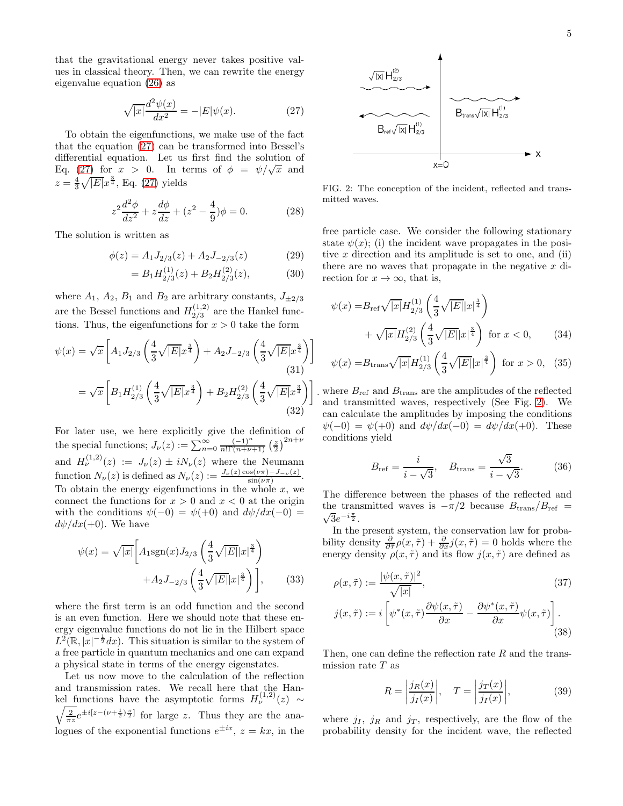that the gravitational energy never takes positive values in classical theory. Then, we can rewrite the energy eigenvalue equation [\(26\)](#page-3-8) as

$$
\sqrt{|x|} \frac{d^2 \psi(x)}{dx^2} = -|E|\psi(x). \tag{27}
$$

To obtain the eigenfunctions, we make use of the fact that the equation [\(27\)](#page-4-0) can be transformed into Bessel's differential equation. Let us first find the solution of Eq. [\(27\)](#page-4-0) for  $x > 0$ . In terms of  $\phi = \psi/\sqrt{x}$  and  $z = \frac{4}{3}\sqrt{|E|}x^{\frac{3}{4}},$  Eq. [\(27\)](#page-4-0) yields

$$
z^{2}\frac{d^{2}\phi}{dz^{2}} + z\frac{d\phi}{dz} + (z^{2} - \frac{4}{9})\phi = 0.
$$
 (28)

The solution is written as

$$
\phi(z) = A_1 J_{2/3}(z) + A_2 J_{-2/3}(z) \tag{29}
$$

$$
=B_1H_{2/3}^{(1)}(z) + B_2H_{2/3}^{(2)}(z), \tag{30}
$$

where  $A_1$ ,  $A_2$ ,  $B_1$  and  $B_2$  are arbitrary constants,  $J_{\pm 2/3}$ are the Bessel functions and  $H_{2/3}^{(1,2)}$  $\frac{2}{3}^{(1,2)}$  are the Hankel functions. Thus, the eigenfunctions for  $x > 0$  take the form

$$
\psi(x) = \sqrt{x} \left[ A_1 J_{2/3} \left( \frac{4}{3} \sqrt{|E|} x^{\frac{3}{4}} \right) + A_2 J_{-2/3} \left( \frac{4}{3} \sqrt{|E|} x^{\frac{3}{4}} \right) \right]
$$
\n
$$
= \sqrt{x} \left[ B_1 H_{2/3}^{(1)} \left( \frac{4}{3} \sqrt{|E|} x^{\frac{3}{4}} \right) + B_2 H_{2/3}^{(2)} \left( \frac{4}{3} \sqrt{|E|} x^{\frac{3}{4}} \right) \right].
$$
\n(32)

For later use, we here explicitly give the definition of the special functions;  $J_{\nu}(z) := \sum_{n=0}^{\infty} \frac{(-1)^n}{n! \Gamma(n+\nu+1)} \left(\frac{z}{2}\right)^{2n+\nu}$ and  $H_{\nu}^{(1,2)}(z) := J_{\nu}(z) \pm iN_{\nu}(z)$  where the Neumann function  $N_{\nu}(z)$  is defined as  $N_{\nu}(z) := \frac{J_{\nu}(z) \cos(\nu \pi) - J_{-\nu}(z)}{\sin(\nu \pi)}$ . To obtain the energy eigenfunctions in the whole  $x$ , we connect the functions for  $x > 0$  and  $x < 0$  at the origin with the conditions  $\psi(-0) = \psi(+0)$  and  $d\psi/dx(-0) =$  $d\psi/dx(+0)$ . We have

$$
\psi(x) = \sqrt{|x|} \left[ A_1 \text{sgn}(x) J_{2/3} \left( \frac{4}{3} \sqrt{|E|} |x|^{\frac{3}{4}} \right) + A_2 J_{-2/3} \left( \frac{4}{3} \sqrt{|E|} |x|^{\frac{3}{4}} \right) \right],\tag{33}
$$

where the first term is an odd function and the second is an even function. Here we should note that these energy eigenvalue functions do not lie in the Hilbert space  $L^2(\mathbb{R}, |x|^{-\frac{1}{2}}dx)$ . This situation is similar to the system of a free particle in quantum mechanics and one can expand a physical state in terms of the energy eigenstates.

Let us now move to the calculation of the reflection and transmission rates. We recall here that the Hankel functions have the asymptotic forms  $H_{\nu}^{(1,2)}$ kel functions have the asymptotic forms  $H_{\nu}^{(1,2)}(z) \sim \sqrt{\frac{2}{\pi z}} e^{\pm i[z-(\nu+\frac{1}{2})\frac{\pi}{2}]}$  for large z. Thus they are the analogues of the exponential functions  $e^{\pm ix}$ ,  $z = kx$ , in the

<span id="page-4-0"></span>

<span id="page-4-1"></span>FIG. 2: The conception of the incident, reflected and transmitted waves.

free particle case. We consider the following stationary state  $\psi(x)$ ; (i) the incident wave propagates in the positive x direction and its amplitude is set to one, and (ii) there are no waves that propagate in the negative  $x$  direction for  $x \to \infty$ , that is,

$$
\psi(x) = B_{\text{ref}} \sqrt{|x|} H_{2/3}^{(1)} \left( \frac{4}{3} \sqrt{|E|} |x|^{\frac{3}{4}} \right) \n+ \sqrt{|x|} H_{2/3}^{(2)} \left( \frac{4}{3} \sqrt{|E|} |x|^{\frac{3}{4}} \right) \text{ for } x < 0,
$$
\n(34)

$$
\psi(x) = B_{\text{trans}}\sqrt{|x|}H_{2/3}^{(1)}\left(\frac{4}{3}\sqrt{|E|}|x|^{\frac{3}{4}}\right) \text{ for } x > 0, \quad (35)
$$

where  $B_{\text{ref}}$  and  $B_{\text{trans}}$  are the amplitudes of the reflected and transmitted waves, respectively (See Fig. [2\)](#page-4-1). We can calculate the amplitudes by imposing the conditions  $\psi(-0) = \psi(+0)$  and  $d\psi/dx(-0) = d\psi/dx(+0)$ . These conditions yield

$$
B_{\text{ref}} = \frac{i}{i - \sqrt{3}}, \quad B_{\text{trans}} = \frac{\sqrt{3}}{i - \sqrt{3}}.
$$
 (36)

The difference between the phases of the reflected and the transmitted waves is  $-\pi/2$  because  $B_{trans}/B_{ref}$  $3e^{-i\frac{\pi}{2}}$ .

In the present system, the conservation law for probability density  $\frac{\partial}{\partial \tilde{\tau}} \rho(x,\tilde{\tau}) + \frac{\partial}{\partial x} j(x,\tilde{\tau}) = 0$  holds where the energy density  $\rho(x, \tilde{\tau})$  and its flow  $j(x, \tilde{\tau})$  are defined as

<span id="page-4-2"></span>
$$
\rho(x,\tilde{\tau}) := \frac{|\psi(x,\tilde{\tau})|^2}{\sqrt{|x|}},\tag{37}
$$
\n
$$
j(x,\tilde{\tau}) := i \left[ \psi^*(x,\tilde{\tau}) \frac{\partial \psi(x,\tilde{\tau})}{\partial x} - \frac{\partial \psi^*(x,\tilde{\tau})}{\partial x} \psi(x,\tilde{\tau}) \right].\tag{38}
$$

Then, one can define the reflection rate  $R$  and the transmission rate  $T$  as

$$
R = \left| \frac{j_R(x)}{j_I(x)} \right|, \quad T = \left| \frac{j_T(x)}{j_I(x)} \right|,
$$
 (39)

where  $j_I$ ,  $j_R$  and  $j_T$ , respectively, are the flow of the probability density for the incident wave, the reflected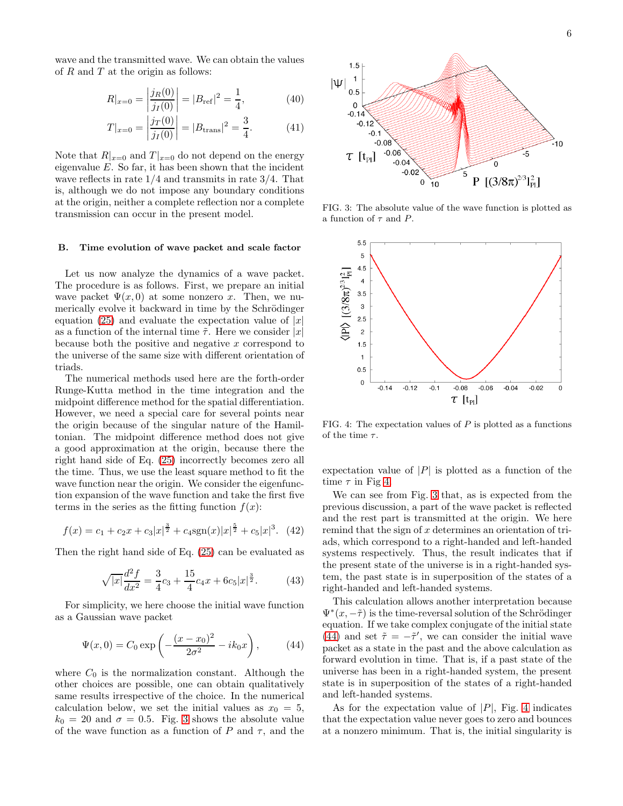wave and the transmitted wave. We can obtain the values of  $R$  and  $T$  at the origin as follows:

$$
R|_{x=0} = \left| \frac{j_R(0)}{j_I(0)} \right| = |B_{\text{ref}}|^2 = \frac{1}{4},\tag{40}
$$

$$
T|_{x=0} = \left| \frac{j_T(0)}{j_I(0)} \right| = |B_{\text{trans}}|^2 = \frac{3}{4}.
$$
 (41)

Note that  $R|_{x=0}$  and  $T|_{x=0}$  do not depend on the energy eigenvalue  $E$ . So far, it has been shown that the incident wave reflects in rate  $1/4$  and transmits in rate  $3/4$ . That is, although we do not impose any boundary conditions at the origin, neither a complete reflection nor a complete transmission can occur in the present model.

#### B. Time evolution of wave packet and scale factor

Let us now analyze the dynamics of a wave packet. The procedure is as follows. First, we prepare an initial wave packet  $\Psi(x,0)$  at some nonzero x. Then, we numerically evolve it backward in time by the Schrödinger equation [\(25\)](#page-3-7) and evaluate the expectation value of  $|x|$ as a function of the internal time  $\tilde{\tau}$ . Here we consider |x| because both the positive and negative  $x$  correspond to the universe of the same size with different orientation of triads.

The numerical methods used here are the forth-order Runge-Kutta method in the time integration and the midpoint difference method for the spatial differentiation. However, we need a special care for several points near the origin because of the singular nature of the Hamiltonian. The midpoint difference method does not give a good approximation at the origin, because there the right hand side of Eq. [\(25\)](#page-3-7) incorrectly becomes zero all the time. Thus, we use the least square method to fit the wave function near the origin. We consider the eigenfunction expansion of the wave function and take the first five terms in the series as the fitting function  $f(x)$ :

$$
f(x) = c_1 + c_2 x + c_3 |x|^{\frac{3}{2}} + c_4 s g(x) |x|^{\frac{5}{2}} + c_5 |x|^3. \quad (42)
$$

Then the right hand side of Eq. [\(25\)](#page-3-7) can be evaluated as

$$
\sqrt{|x|} \frac{d^2 f}{dx^2} = \frac{3}{4} c_3 + \frac{15}{4} c_4 x + 6 c_5 |x|^{\frac{3}{2}}.
$$
 (43)

For simplicity, we here choose the initial wave function as a Gaussian wave packet

$$
\Psi(x,0) = C_0 \exp\left(-\frac{(x-x_0)^2}{2\sigma^2} - ik_0 x\right),\tag{44}
$$

where  $C_0$  is the normalization constant. Although the other choices are possible, one can obtain qualitatively same results irrespective of the choice. In the numerical calculation below, we set the initial values as  $x_0 = 5$ ,  $k_0 = 20$  and  $\sigma = 0.5$ . Fig. [3](#page-5-0) shows the absolute value of the wave function as a function of P and  $\tau$ , and the



<span id="page-5-0"></span>FIG. 3: The absolute value of the wave function is plotted as a function of  $\tau$  and  $P$ .



<span id="page-5-1"></span>FIG. 4: The expectation values of  $P$  is plotted as a functions of the time  $\tau$ .

expectation value of  $|P|$  is plotted as a function of the time  $\tau$  in Fig [4.](#page-5-1)

We can see from Fig. [3](#page-5-0) that, as is expected from the previous discussion, a part of the wave packet is reflected and the rest part is transmitted at the origin. We here remind that the sign of x determines an orientation of triads, which correspond to a right-handed and left-handed systems respectively. Thus, the result indicates that if the present state of the universe is in a right-handed system, the past state is in superposition of the states of a right-handed and left-handed systems.

<span id="page-5-2"></span>This calculation allows another interpretation because  $\Psi^*(x, -\tilde{\tau})$  is the time-reversal solution of the Schrödinger equation. If we take complex conjugate of the initial state [\(44\)](#page-5-2) and set  $\tilde{\tau} = -\tilde{\tau}'$ , we can consider the initial wave packet as a state in the past and the above calculation as forward evolution in time. That is, if a past state of the universe has been in a right-handed system, the present state is in superposition of the states of a right-handed and left-handed systems.

As for the expectation value of  $|P|$ , Fig. [4](#page-5-1) indicates that the expectation value never goes to zero and bounces at a nonzero minimum. That is, the initial singularity is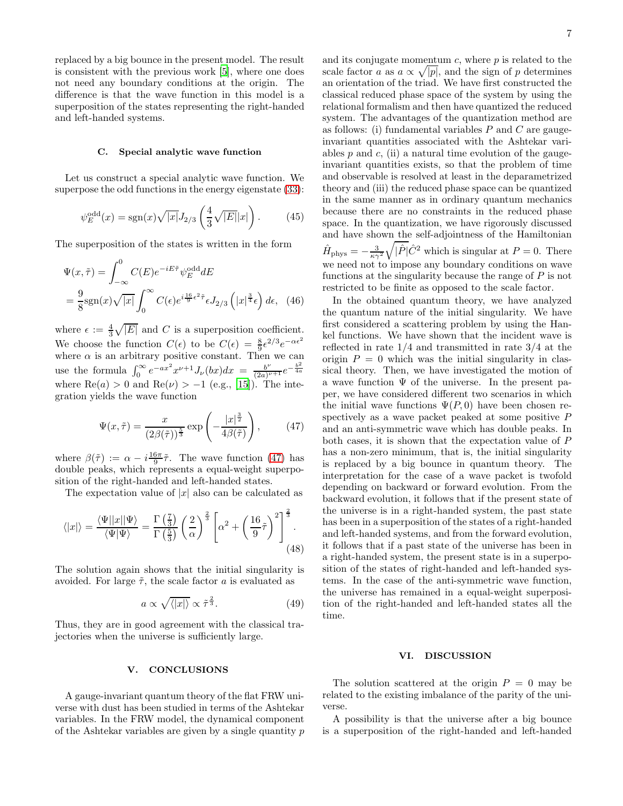replaced by a big bounce in the present model. The result is consistent with the previous work [\[5](#page-7-3)], where one does not need any boundary conditions at the origin. The difference is that the wave function in this model is a superposition of the states representing the right-handed and left-handed systems.

#### C. Special analytic wave function

Let us construct a special analytic wave function. We superpose the odd functions in the energy eigenstate [\(33\)](#page-4-2):

$$
\psi_E^{\text{odd}}(x) = \text{sgn}(x)\sqrt{|x|}J_{2/3}\left(\frac{4}{3}\sqrt{|E|}|x|\right). \tag{45}
$$

The superposition of the states is written in the form

$$
\Psi(x,\tilde{\tau}) = \int_{-\infty}^{0} C(E)e^{-iE\tilde{\tau}}\psi_E^{\text{odd}}dE
$$

$$
= \frac{9}{8}\text{sgn}(x)\sqrt{|x|}\int_{0}^{\infty} C(\epsilon)e^{i\frac{16}{9}\epsilon^2\tilde{\tau}}\epsilon J_{2/3}\left(|x|^{\frac{3}{4}}\epsilon\right)d\epsilon, \quad (46)
$$

where  $\epsilon := \frac{4}{3}\sqrt{|E|}$  and C is a superposition coefficient. We choose the function  $C(\epsilon)$  to be  $C(\epsilon) = \frac{8}{9} \epsilon^{2/3} e^{-\alpha \epsilon^2}$ where  $\alpha$  is an arbitrary positive constant. Then we can use the formula  $\int_0^\infty e^{-ax^2} x^{\nu+1} J_\nu(bx) dx = \frac{b^\nu}{(2a)^\nu}$  $\frac{b^{\nu}}{(2a)^{\nu+1}}e^{-\frac{b^2}{4a}}$ where  $\text{Re}(a) > 0$  and  $\text{Re}(\nu) > -1$  (e.g., [\[15\]](#page-8-4)). The integration yields the wave function

$$
\Psi(x,\tilde{\tau}) = \frac{x}{(2\beta(\tilde{\tau}))^{\frac{5}{3}}} \exp\left(-\frac{|x|^{\frac{3}{2}}}{4\beta(\tilde{\tau})}\right),\qquad(47)
$$

where  $\beta(\tilde{\tau}) := \alpha - i \frac{16\pi}{9} \tilde{\tau}$ . The wave function [\(47\)](#page-6-2) has double peaks, which represents a equal-weight superposition of the right-handed and left-handed states.

The expectation value of  $|x|$  also can be calculated as

$$
\langle |x| \rangle = \frac{\langle \Psi ||x||\Psi \rangle}{\langle \Psi |\Psi \rangle} = \frac{\Gamma\left(\frac{7}{3}\right)}{\Gamma\left(\frac{5}{3}\right)} \left(\frac{2}{\alpha}\right)^{\frac{2}{3}} \left[\alpha^2 + \left(\frac{16}{9}\tilde{\tau}\right)^2\right]^{\frac{2}{3}}.
$$
\n(48)

The solution again shows that the initial singularity is avoided. For large  $\tilde{\tau}$ , the scale factor a is evaluated as

$$
a \propto \sqrt{\langle |x| \rangle} \propto \tilde{\tau}^{\frac{2}{3}}.
$$
 (49)

Thus, they are in good agreement with the classical trajectories when the universe is sufficiently large.

#### <span id="page-6-0"></span>V. CONCLUSIONS

A gauge-invariant quantum theory of the flat FRW universe with dust has been studied in terms of the Ashtekar variables. In the FRW model, the dynamical component of the Ashtekar variables are given by a single quantity p and its conjugate momentum  $c$ , where  $p$  is related to the scale factor a as  $a \propto \sqrt{|p|}$ , and the sign of p determines an orientation of the triad. We have first constructed the classical reduced phase space of the system by using the relational formalism and then have quantized the reduced system. The advantages of the quantization method are as follows: (i) fundamental variables  $P$  and  $C$  are gaugeinvariant quantities associated with the Ashtekar variables p and c, (ii) a natural time evolution of the gaugeinvariant quantities exists, so that the problem of time and observable is resolved at least in the deparametrized theory and (iii) the reduced phase space can be quantized in the same manner as in ordinary quantum mechanics because there are no constraints in the reduced phase space. In the quantization, we have rigorously discussed and have shown the self-adjointness of the Hamiltonian  $\hat{H}_{\text{phys}} = -\frac{3}{\kappa \gamma^2} \sqrt{|\hat{P}|} \hat{C}^2$  which is singular at  $P = 0$ . There we need not to impose any boundary conditions on wave functions at the singularity because the range of P is not restricted to be finite as opposed to the scale factor.

<span id="page-6-2"></span>In the obtained quantum theory, we have analyzed the quantum nature of the initial singularity. We have first considered a scattering problem by using the Hankel functions. We have shown that the incident wave is reflected in rate 1/4 and transmitted in rate 3/4 at the origin  $P = 0$  which was the initial singularity in classical theory. Then, we have investigated the motion of a wave function  $\Psi$  of the universe. In the present paper, we have considered different two scenarios in which the initial wave functions  $\Psi(P, 0)$  have been chosen respectively as a wave packet peaked at some positive P and an anti-symmetric wave which has double peaks. In both cases, it is shown that the expectation value of P has a non-zero minimum, that is, the initial singularity is replaced by a big bounce in quantum theory. The interpretation for the case of a wave packet is twofold depending on backward or forward evolution. From the backward evolution, it follows that if the present state of the universe is in a right-handed system, the past state has been in a superposition of the states of a right-handed and left-handed systems, and from the forward evolution, it follows that if a past state of the universe has been in a right-handed system, the present state is in a superposition of the states of right-handed and left-handed systems. In the case of the anti-symmetric wave function, the universe has remained in a equal-weight superposition of the right-handed and left-handed states all the time.

### <span id="page-6-1"></span>VI. DISCUSSION

The solution scattered at the origin  $P = 0$  may be related to the existing imbalance of the parity of the universe.

A possibility is that the universe after a big bounce is a superposition of the right-handed and left-handed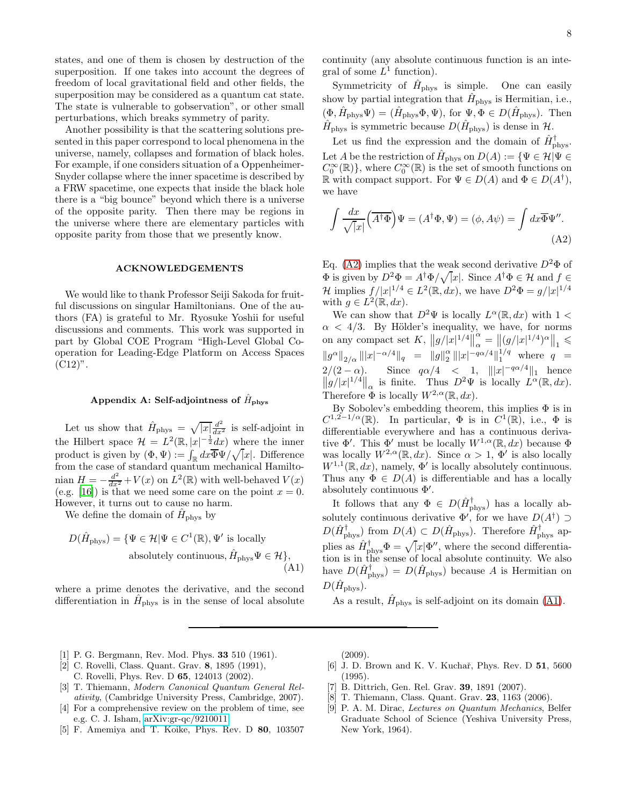states, and one of them is chosen by destruction of the superposition. If one takes into account the degrees of freedom of local gravitational field and other fields, the superposition may be considered as a quantum cat state. The state is vulnerable to gobservation", or other small perturbations, which breaks symmetry of parity.

Another possibility is that the scattering solutions presented in this paper correspond to local phenomena in the universe, namely, collapses and formation of black holes. For example, if one considers situation of a Oppenheimer-Snyder collapse where the inner spacetime is described by a FRW spacetime, one expects that inside the black hole there is a "big bounce" beyond which there is a universe of the opposite parity. Then there may be regions in the universe where there are elementary particles with opposite parity from those that we presently know.

# ACKNOWLEDGEMENTS

We would like to thank Professor Seiji Sakoda for fruitful discussions on singular Hamiltonians. One of the authors (FA) is grateful to Mr. Ryosuke Yoshii for useful discussions and comments. This work was supported in part by Global COE Program "High-Level Global Cooperation for Leading-Edge Platform on Access Spaces  $(C12)$ ".

# <span id="page-7-7"></span>Appendix A: Self-adjointness of  $\hat{H}_{\text{phys}}$

Let us show that  $\hat{H}_{\text{phys}} = \sqrt{|x|} \frac{d^2}{dx^2}$  is self-adjoint in the Hilbert space  $\mathcal{H} = L^2(\mathbb{R}, |x|^{-\frac{1}{2}}dx)$  where the inner product is given by  $(\Phi, \Psi) := \int_{\mathbb{R}} dx \overline{\Phi} \Psi / \sqrt{|x|}$ . Difference from the case of standard quantum mechanical Hamiltonian  $H = -\frac{d^2}{dx^2} + V(x)$  on  $L^2(\mathbb{R})$  with well-behaved  $V(x)$ (e.g. [\[16\]](#page-8-5)) is that we need some care on the point  $x = 0$ . However, it turns out to cause no harm.

We define the domain of  $\hat{H}_{\text{phys}}$  by

$$
D(\hat{H}_{\text{phys}}) = \{ \Psi \in \mathcal{H} | \Psi \in C^{1}(\mathbb{R}), \Psi' \text{ is locally} \}
$$
  
absolutely continuous,  $\hat{H}_{\text{phys}} \Psi \in \mathcal{H} \},$   
(A1)

where a prime denotes the derivative, and the second differentiation in  $\hat{H}_{\text{phys}}$  is in the sense of local absolute continuity (any absolute continuous function is an integral of some  $L^1$  function).

Symmetricity of  $\hat{H}_{\text{phys}}$  is simple. One can easily show by partial integration that  $\hat{H}_{\text{phys}}$  is Hermitian, i.e.,  $(\Phi, \hat{H}_{\text{phys}}\Psi) = (\hat{H}_{\text{phys}}\Phi, \Psi)$ , for  $\Psi, \Phi \in D(\hat{H}_{\text{phys}})$ . Then  $\hat{H}_{\text{phys}}$  is symmetric because  $D(\hat{H}_{\text{phys}})$  is dense in  $H$ .

Let us find the expression and the domain of  $\hat{H}^\dagger_{\text{phys}}$ . Let A be the restriction of  $\hat{H}_{\text{phys}}$  on  $D(A) := \{ \Psi \in \mathcal{H} | \Psi \in \mathcal{H} \}$  $C_0^{\infty}(\mathbb{R})$ , where  $C_0^{\infty}(\mathbb{R})$  is the set of smooth functions on  $\mathbb{R}$  with compact support. For  $\Psi \in D(A)$  and  $\Phi \in D(A^{\dagger}),$ we have

<span id="page-7-8"></span>
$$
\int \frac{dx}{\sqrt{|x|}} \left(\overline{A^{\dagger} \Phi}\right) \Psi = (A^{\dagger} \Phi, \Psi) = (\phi, A\psi) = \int dx \overline{\Phi} \Psi''.
$$
\n(A2)

Eq. [\(A2\)](#page-7-8) implies that the weak second derivative  $D^2\Phi$  of  $\Phi$  is given by  $D^2 \Phi = A^{\dagger} \Phi / \sqrt{|x|}$ . Since  $A^{\dagger} \Phi \in \mathcal{H}$  and  $f \in \mathcal{H}$ H implies  $f/|x|^{1/4} \in L^2(\mathbb{R}, dx)$ , we have  $D^2\Phi = g/|x|^{1/4}$ with  $g \in L^2(\mathbb{R}, dx)$ .

We can show that  $D^2\Psi$  is locally  $L^{\alpha}(\mathbb{R}, dx)$  with  $1 <$  $\alpha$  < 4/3. By Hölder's inequality, we have, for norms on any compact set K,  $||g/|x|^{1/4}||$ α  $\alpha^{\alpha} = \left\| (g/|x|^{1/4})^{\alpha} \right\|_1 \leq$  $||g^{\alpha}||_{2/\alpha}|||x|^{-\alpha/4}||_{q} = ||g||_{2}^{\alpha}|||x|^{-q\alpha/4}||_{1}^{1/q}$  where  $q =$  $2/(2-\alpha)$ . Since  $q\alpha/4 < 1$ ,  $|||x|^{-q\alpha/4}||_1$  hence  $||g/|x|^{1/4}||_{\alpha}$  is finite. Thus  $D^2\Psi$  is locally  $L^{\alpha}(\mathbb{R}, dx)$ . Therefore  $\Phi$  is locally  $W^{2,\alpha}(\mathbb{R},dx)$ .

By Sobolev's embedding theorem, this implies  $\Phi$  is in  $C^{1,2-1/\alpha}(\mathbb{R})$ . In particular,  $\Phi$  is in  $C^1(\mathbb{R})$ , i.e.,  $\Phi$  is differentiable everywhere and has a continuous derivative  $\Phi'$ . This  $\Phi'$  must be locally  $W^{1,\alpha}(\mathbb{R},dx)$  because  $\Phi$ was locally  $W^{2,\alpha}(\mathbb{R},dx)$ . Since  $\alpha > 1$ ,  $\Phi'$  is also locally  $W^{1,1}(\mathbb{R}, dx)$ , namely,  $\Phi'$  is locally absolutely continuous. Thus any  $\Phi \in D(A)$  is differentiable and has a locally absolutely continuous Φ′ .

It follows that any  $\Phi \in D(\hat{H}^{\dagger}_{\text{phys}})$  has a locally absolutely continuous derivative  $\Phi'$ , for we have  $D(A^{\dagger}) \supset$  $D(\hat{H}^{\dagger}_{\text{phys}})$  from  $D(A) \subset D(\hat{H}_{\text{phys}})$ . Therefore  $\hat{H}^{\dagger}_{\text{phys}}$  applies as  $\hat{H}^{\dagger}_{\text{phys}}\Phi = \sqrt{x}|\Phi''|$ , where the second differentiation is in the sense of local absolute continuity. We also have  $D(\hat{H}^{\dagger}_{\text{phys}}) = D(\hat{H}_{\text{phys}})$  because A is Hermitian on  $D(\hat{H}_{\rm phys}).$ 

<span id="page-7-9"></span>As a result,  $\hat{H}_{\text{phys}}$  is self-adjoint on its domain [\(A1\)](#page-7-9).

- <span id="page-7-0"></span>[1] P. G. Bergmann, Rev. Mod. Phys. 33 510 (1961).
- <span id="page-7-1"></span>[2] C. Rovelli, Class. Quant. Grav. 8, 1895 (1991),
- C. Rovelli, Phys. Rev. D 65, 124013 (2002).
- [3] T. Thiemann, Modern Canonical Quantum General Relativity, (Cambridge University Press, Cambridge, 2007).
- <span id="page-7-2"></span>[4] For a comprehensive review on the problem of time, see e.g. C. J. Isham, [arXiv:gr-qc/9210011.](http://arxiv.org/abs/gr-qc/9210011)
- <span id="page-7-3"></span>[5] F. Amemiya and T. Koike, Phys. Rev. D 80, 103507

(2009).

- <span id="page-7-4"></span>[6] J. D. Brown and K. V. Kuchař, Phys. Rev. D 51, 5600 (1995).
- <span id="page-7-5"></span>[7] B. Dittrich, Gen. Rel. Grav. 39, 1891 (2007).
- [8] T. Thiemann, Class. Quant. Grav. 23, 1163 (2006).
- <span id="page-7-6"></span>[9] P. A. M. Dirac, Lectures on Quantum Mechanics, Belfer Graduate School of Science (Yeshiva University Press, New York, 1964).